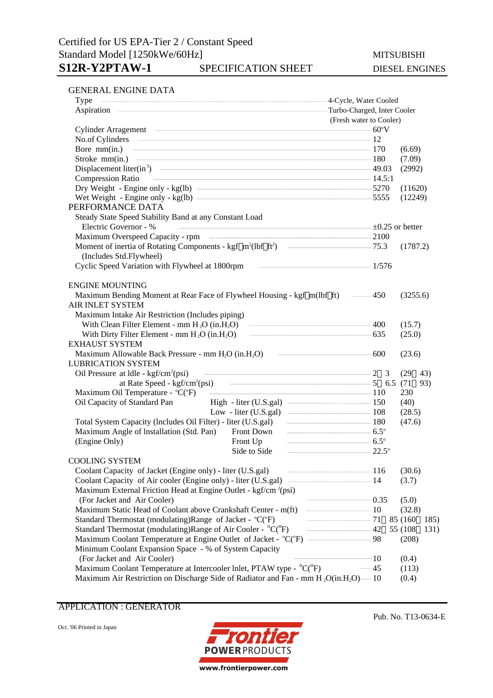### GENERAL ENGINE DATA

| Type                                                                                          | 4-Cycle, Water Cooled         |      |  |
|-----------------------------------------------------------------------------------------------|-------------------------------|------|--|
|                                                                                               | - Turbo-Charged, Inter Cooler |      |  |
|                                                                                               | (Fresh water to Cooler)       |      |  |
| Cylinder Arragement 60°V                                                                      |                               |      |  |
| No.of Cylinders 12                                                                            |                               |      |  |
| Bore $\text{mm(in.)}$ $\qquad \qquad \qquad$ 170                                              | (6.69)                        |      |  |
| Stroke mm(in.) 180                                                                            | (7.09)                        |      |  |
| Displacement liter(in <sup>3</sup> ) $\qquad \qquad \qquad \text{49.03}$                      | (2992)                        |      |  |
| $\frac{14.5:1}{14.5:1}$<br><b>Compression Ratio</b>                                           |                               |      |  |
|                                                                                               | (11620)                       |      |  |
|                                                                                               | (12249)                       |      |  |
| PERFORMANCE DATA                                                                              |                               |      |  |
| Steady State Speed Stability Band at any Constant Load                                        |                               |      |  |
| Electric Governor - %<br>$\pm 0.25$ or better                                                 |                               |      |  |
|                                                                                               |                               |      |  |
| Moment of inertia of Rotating Components - kgf m <sup>2</sup> (lbf ft <sup>2</sup> ) - - 75.3 | (1787.2)                      |      |  |
| (Includes Std.Flywheel)                                                                       |                               |      |  |
| Cyclic Speed Variation with Flywheel at 1800rpm and all all the matter of 1/576               |                               |      |  |
| <b>ENGINE MOUNTING</b>                                                                        |                               |      |  |
| Maximum Bending Moment at Rear Face of Flywheel Housing - kgf m(lbf ft) — 450                 | (3255.6)                      |      |  |
| <b>AIR INLET SYSTEM</b>                                                                       |                               |      |  |
| Maximum Intake Air Restriction (Includes piping)                                              |                               |      |  |
| With Clean Filter Element - mm $H_2O$ (in $H_2O$ ) $\qquad \qquad \qquad 400$                 | (15.7)                        |      |  |
| With Dirty Filter Element - mm $H_2O$ (in $H_2O$ ) $\qquad \qquad \qquad$ 635                 | (25.0)                        |      |  |
| <b>EXHAUST SYSTEM</b>                                                                         |                               |      |  |
| Maximum Allowable Back Pressure - mm $H_2O$ (in $H_2O$ ) $\qquad \qquad \qquad 600$           | (23.6)                        |      |  |
| <b>LUBRICATION SYSTEM</b>                                                                     |                               |      |  |
| Oil Pressure at $ldle$ - kgf/cm <sup>2</sup> (psi)                                            | (29)                          | 43)  |  |
|                                                                                               |                               | 93)  |  |
| Maximum Oil Temperature - °C(°F) 110                                                          | 230                           |      |  |
| High - liter (U.S.gal) <u>________________</u> 150<br>Oil Capacity of Standard Pan            | (40)                          |      |  |
| Low - liter (U.S.gal) $\frac{108}{200}$                                                       | (28.5)                        |      |  |
|                                                                                               | (47.6)                        |      |  |
| $6.5^\circ$<br>Maximum Angle of Installation (Std. Pan)<br>Front Down                         |                               |      |  |
| Front Up $6.5^\circ$<br>(Engine Only)                                                         |                               |      |  |
| Side to Side                                                                                  | $\frac{1}{22.5^{\circ}}$      |      |  |
| <b>COOLING SYSTEM</b><br>$\frac{116}{2}$                                                      |                               |      |  |
| Coolant Capacity of Jacket (Engine only) - liter (U.S.gal)                                    | (30.6)                        |      |  |
|                                                                                               | (3.7)                         |      |  |
| Maximum External Friction Head at Engine Outlet - kgf/cm <sup>2</sup> (psi)                   | $\frac{1}{1}$ 0.35            |      |  |
| (For Jacket and Air Cooler)                                                                   | (5.0)<br>$\frac{10}{2}$       |      |  |
| Maximum Static Head of Coolant above Crankshaft Center - m(ft)                                | (32.8)                        |      |  |
| Standard Thermostat (modulating)Range of Jacket - °C(°F)                                      | $\frac{1}{2}$ 71<br>85 (160)  | 185) |  |
| Standard Thermostat (modulating)Range of Air Cooler - °C(°F)                                  | $\frac{1}{2}$ 42<br>55 (108)  | 131) |  |
| Maximum Coolant Temperature at Engine Outlet of Jacket - °C(°F) — 98                          | (208)                         |      |  |
| Minimum Coolant Expansion Space - % of System Capacity                                        | $\frac{1}{10}$                |      |  |
| (For Jacket and Air Cooler)                                                                   | (0.4)<br>$-45$                |      |  |
| Maximum Coolant Temperature at Intercooler Inlet, PTAW type - °C(°F)                          | (113)                         |      |  |
| Maximum Air Restriction on Discharge Side of Radiator and Fan - mm $H_2O(in.H_2O)$ —10        | (0.4)                         |      |  |

APPLICATION : GENERATOR

Oct. '06 Printed in Japan



Pub. No. T13-0634-E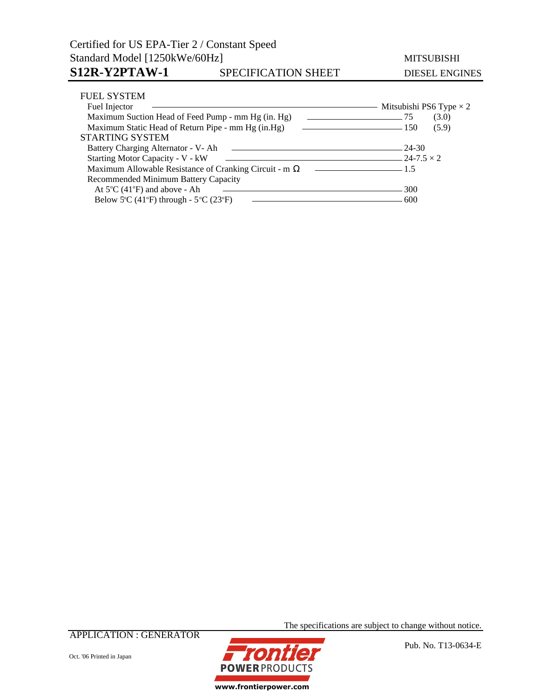# Certified for US EPA-Tier 2 / Constant Speed Standard Model [1250kWe/60Hz] MITSUBISHI S12R-Y2PTAW-1 SPECIFICATION SHEET DIESEL ENGINES

| <b>FUEL SYSTEM</b>                                               |                                |
|------------------------------------------------------------------|--------------------------------|
| Fuel Injector                                                    | Mitsubishi PS6 Type $\times$ 2 |
| Maximum Suction Head of Feed Pump - mm Hg (in. Hg)               | (3.0)<br>75                    |
| Maximum Static Head of Return Pipe - mm Hg (in.Hg)<br>$\sim$ 150 | (5.9)                          |
| <b>STARTING SYSTEM</b>                                           |                                |
| Battery Charging Alternator - V- Ah                              | - 24-30                        |
| Starting Motor Capacity - V - kW<br>$24-7.5 \times 2$            |                                |
| Maximum Allowable Resistance of Cranking Circuit - m             | $-1.5$                         |
| Recommended Minimum Battery Capacity                             |                                |
| At $5^{\circ}$ C (41 $^{\circ}$ F) and above - Ah                | 300                            |
| Below 5°C (41°F) through - $5$ °C (23°F)                         | 600                            |

APPLICATION : GENERATOR



The specifications are subject to change without notice.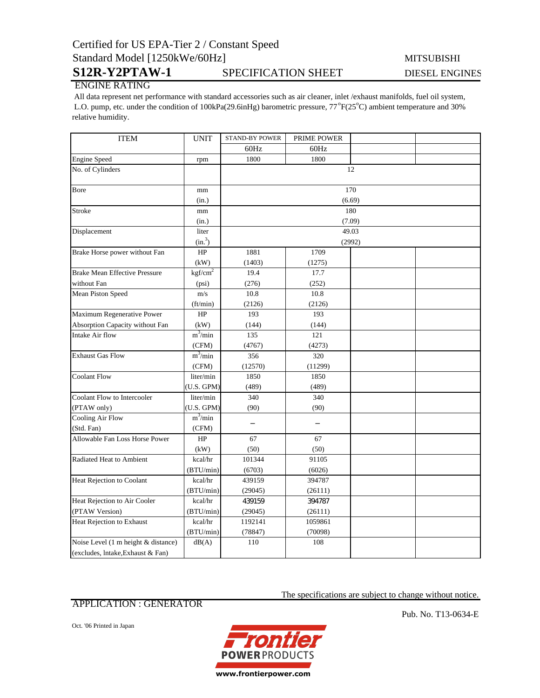# Certified for US EPA-Tier 2 / Constant Speed Standard Model [1250kWe/60Hz] MITSUBISHI

# S12R-Y2PTAW-1 SPECIFICATION SHEET DIESEL ENGINES

## ENGINE RATING

 All data represent net performance with standard accessories such as air cleaner, inlet /exhaust manifolds, fuel oil system, L.O. pump, etc. under the condition of 100kPa(29.6inHg) barometric pressure, 77°F(25°C) ambient temperature and 30% relative humidity.

| <b>ITEM</b>                          | <b>UNIT</b>         | <b>STAND-BY POWER</b> | PRIME POWER |     |  |
|--------------------------------------|---------------------|-----------------------|-------------|-----|--|
|                                      |                     | 60Hz                  | 60Hz        |     |  |
| <b>Engine Speed</b>                  | rpm                 | 1800                  | 1800        |     |  |
| No. of Cylinders                     |                     | 12                    |             |     |  |
| Bore                                 | mm                  |                       |             | 170 |  |
|                                      | (in.)               | (6.69)                |             |     |  |
| Stroke                               | mm                  | 180                   |             |     |  |
|                                      | (in.)               | (7.09)                |             |     |  |
| Displacement                         | liter               | 49.03                 |             |     |  |
|                                      | (in. <sup>3</sup> ) | (2992)                |             |     |  |
| Brake Horse power without Fan        | HP                  | 1881                  | 1709        |     |  |
|                                      | (kW)                | (1403)                | (1275)      |     |  |
| <b>Brake Mean Effective Pressure</b> | kgf/cm <sup>2</sup> | 19.4                  | 17.7        |     |  |
| without Fan                          | (psi)               | (276)                 | (252)       |     |  |
| Mean Piston Speed                    | m/s                 | 10.8                  | 10.8        |     |  |
|                                      | (ft/min)            | (2126)                | (2126)      |     |  |
| Maximum Regenerative Power           | HP                  | 193                   | 193         |     |  |
| Absorption Capacity without Fan      | (kW)                | (144)                 | (144)       |     |  |
| Intake Air flow                      | $m^3$ /min          | 135                   | 121         |     |  |
|                                      | (CFM)               | (4767)                | (4273)      |     |  |
| <b>Exhaust Gas Flow</b>              | $m^3/m$ in          | 356                   | 320         |     |  |
|                                      | (CFM)               | (12570)               | (11299)     |     |  |
| <b>Coolant Flow</b>                  | liter/min           | 1850                  | 1850        |     |  |
|                                      | (U.S. GPM)          | (489)                 | (489)       |     |  |
| Coolant Flow to Intercooler          | liter/min           | 340                   | 340         |     |  |
| (PTAW only)                          | (U.S. GPM)          | (90)                  | (90)        |     |  |
| <b>Cooling Air Flow</b>              | $m^3/min$           |                       |             |     |  |
| (Std. Fan)                           | (CFM)               |                       |             |     |  |
| Allowable Fan Loss Horse Power       | HP                  | 67                    | 67          |     |  |
|                                      | (kW)                | (50)                  | (50)        |     |  |
| Radiated Heat to Ambient             | kcal/hr             | 101344                | 91105       |     |  |
|                                      | (BTU/min)           | (6703)                | (6026)      |     |  |
| Heat Rejection to Coolant            | kcal/hr             | 439159                | 394787      |     |  |
|                                      | (BTU/min)           | (29045)               | (26111)     |     |  |
| Heat Rejection to Air Cooler         | kcal/hr             | 439159                | 394787      |     |  |
| (PTAW Version)                       | (BTU/min)           | (29045)               | (26111)     |     |  |
| Heat Rejection to Exhaust            | kcal/hr             | 1192141               | 1059861     |     |  |
|                                      | (BTU/min)           | (78847)               | (70098)     |     |  |
| Noise Level (1 m height & distance)  | dB(A)               | 110                   | 108         |     |  |
| (excludes, lntake, Exhaust & Fan)    |                     |                       |             |     |  |

## APPLICATION : GENERATOR

Oct. '06 Printed in Japan



Pub. No. T13-0634-E

The specifications are subject to change without notice.

www.frontierpower.com